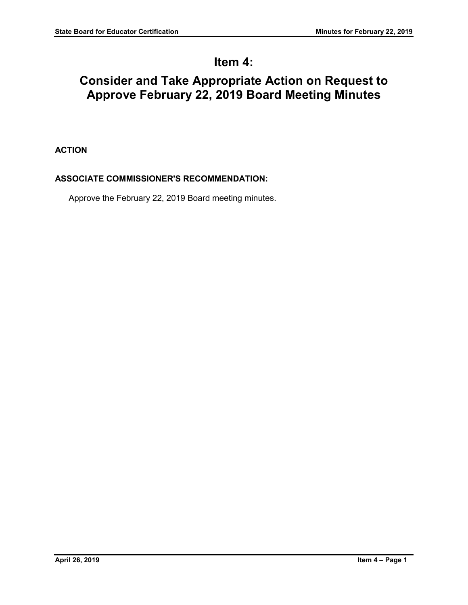# **Item 4:**

# **Consider and Take Appropriate Action on Request to Approve February 22, 2019 Board Meeting Minutes**

# **ACTION**

# **ASSOCIATE COMMISSIONER'S RECOMMENDATION:**

Approve the February 22, 2019 Board meeting minutes.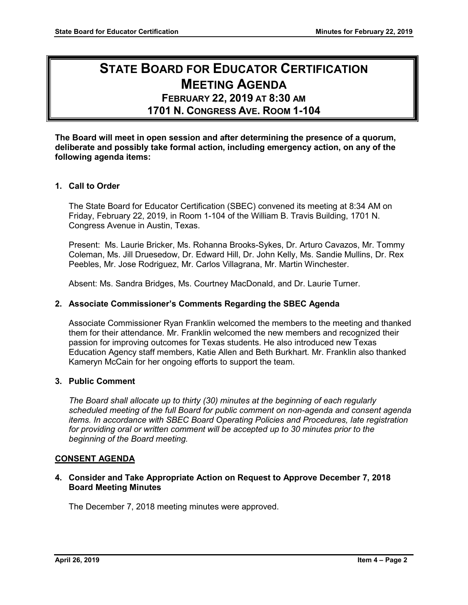# **STATE BOARD FOR EDUCATOR CERTIFICATION MEETING AGENDA**

# **FEBRUARY 22, 2019 AT 8:30 AM**

**1701 N. CONGRESS AVE. ROOM 1-104**

**The Board will meet in open session and after determining the presence of a quorum, deliberate and possibly take formal action, including emergency action, on any of the following agenda items:**

# **1. Call to Order**

The State Board for Educator Certification (SBEC) convened its meeting at 8:34 AM on Friday, February 22, 2019, in Room 1-104 of the William B. Travis Building, 1701 N. Congress Avenue in Austin, Texas.

Present: Ms. Laurie Bricker, Ms. Rohanna Brooks-Sykes, Dr. Arturo Cavazos, Mr. Tommy Coleman, Ms. Jill Druesedow, Dr. Edward Hill, Dr. John Kelly, Ms. Sandie Mullins, Dr. Rex Peebles, Mr. Jose Rodriguez, Mr. Carlos Villagrana, Mr. Martin Winchester.

Absent: Ms. Sandra Bridges, Ms. Courtney MacDonald, and Dr. Laurie Turner.

# **2. Associate Commissioner's Comments Regarding the SBEC Agenda**

Associate Commissioner Ryan Franklin welcomed the members to the meeting and thanked them for their attendance. Mr. Franklin welcomed the new members and recognized their passion for improving outcomes for Texas students. He also introduced new Texas Education Agency staff members, Katie Allen and Beth Burkhart. Mr. Franklin also thanked Kameryn McCain for her ongoing efforts to support the team.

# **3. Public Comment**

*The Board shall allocate up to thirty (30) minutes at the beginning of each regularly scheduled meeting of the full Board for public comment on non-agenda and consent agenda items. In accordance with SBEC Board Operating Policies and Procedures, late registration for providing oral or written comment will be accepted up to 30 minutes prior to the beginning of the Board meeting.*

# **CONSENT AGENDA**

#### **4. Consider and Take Appropriate Action on Request to Approve December 7, 2018 Board Meeting Minutes**

The December 7, 2018 meeting minutes were approved.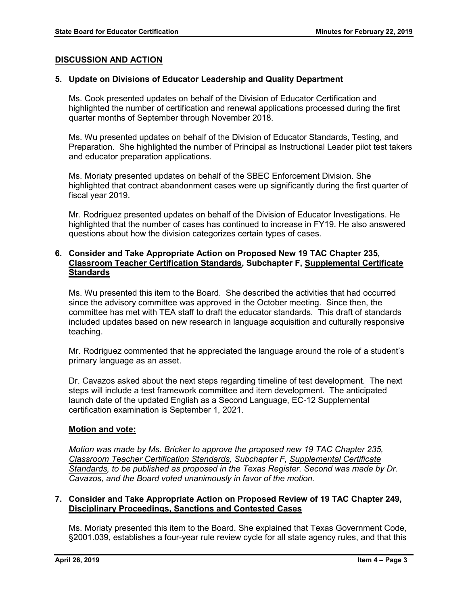### **DISCUSSION AND ACTION**

#### **5. Update on Divisions of Educator Leadership and Quality Department**

Ms. Cook presented updates on behalf of the Division of Educator Certification and highlighted the number of certification and renewal applications processed during the first quarter months of September through November 2018.

Ms. Wu presented updates on behalf of the Division of Educator Standards, Testing, and Preparation. She highlighted the number of Principal as Instructional Leader pilot test takers and educator preparation applications.

Ms. Moriaty presented updates on behalf of the SBEC Enforcement Division. She highlighted that contract abandonment cases were up significantly during the first quarter of fiscal year 2019.

Mr. Rodriguez presented updates on behalf of the Division of Educator Investigations. He highlighted that the number of cases has continued to increase in FY19. He also answered questions about how the division categorizes certain types of cases.

### **6. Consider and Take Appropriate Action on Proposed New 19 TAC Chapter 235, Classroom Teacher Certification Standards, Subchapter F, Supplemental Certificate Standards**

Ms. Wu presented this item to the Board. She described the activities that had occurred since the advisory committee was approved in the October meeting. Since then, the committee has met with TEA staff to draft the educator standards. This draft of standards included updates based on new research in language acquisition and culturally responsive teaching.

Mr. Rodriguez commented that he appreciated the language around the role of a student's primary language as an asset.

Dr. Cavazos asked about the next steps regarding timeline of test development. The next steps will include a test framework committee and item development. The anticipated launch date of the updated English as a Second Language, EC-12 Supplemental certification examination is September 1, 2021.

#### **Motion and vote:**

*Motion was made by Ms. Bricker to approve the proposed new 19 TAC Chapter 235, Classroom Teacher Certification Standards, Subchapter F, Supplemental Certificate Standards, to be published as proposed in the Texas Register. Second was made by Dr. Cavazos, and the Board voted unanimously in favor of the motion.*

#### **7. Consider and Take Appropriate Action on Proposed Review of 19 TAC Chapter 249, Disciplinary Proceedings, Sanctions and Contested Cases**

Ms. Moriaty presented this item to the Board. She explained that Texas Government Code, §2001.039, establishes a four-year rule review cycle for all state agency rules, and that this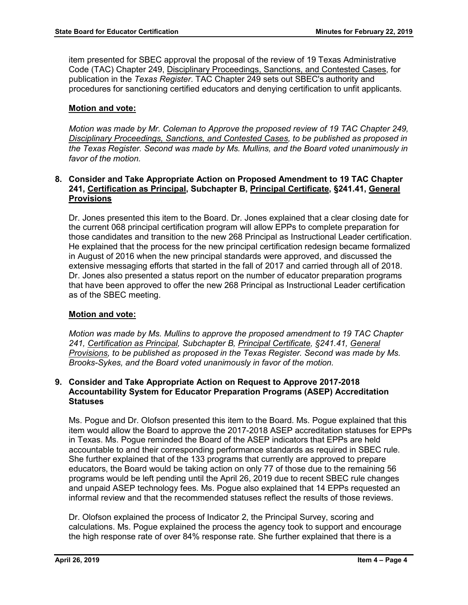item presented for SBEC approval the proposal of the review of 19 Texas Administrative Code (TAC) Chapter 249, Disciplinary Proceedings, Sanctions, and Contested Cases, for publication in the *Texas Register*. TAC Chapter 249 sets out SBEC's authority and procedures for sanctioning certified educators and denying certification to unfit applicants.

# **Motion and vote:**

*Motion was made by Mr. Coleman to Approve the proposed review of 19 TAC Chapter 249, Disciplinary Proceedings, Sanctions, and Contested Cases, to be published as proposed in the Texas Register. Second was made by Ms. Mullins, and the Board voted unanimously in favor of the motion.* 

#### **8. Consider and Take Appropriate Action on Proposed Amendment to 19 TAC Chapter 241, Certification as Principal, Subchapter B, Principal Certificate, §241.41, General Provisions**

Dr. Jones presented this item to the Board. Dr. Jones explained that a clear closing date for the current 068 principal certification program will allow EPPs to complete preparation for those candidates and transition to the new 268 Principal as Instructional Leader certification. He explained that the process for the new principal certification redesign became formalized in August of 2016 when the new principal standards were approved, and discussed the extensive messaging efforts that started in the fall of 2017 and carried through all of 2018. Dr. Jones also presented a status report on the number of educator preparation programs that have been approved to offer the new 268 Principal as Instructional Leader certification as of the SBEC meeting.

# **Motion and vote:**

*Motion was made by Ms. Mullins to approve the proposed amendment to 19 TAC Chapter 241, Certification as Principal, Subchapter B, Principal Certificate, §241.41, General Provisions, to be published as proposed in the Texas Register. Second was made by Ms. Brooks-Sykes, and the Board voted unanimously in favor of the motion.*

#### **9. Consider and Take Appropriate Action on Request to Approve 2017-2018 Accountability System for Educator Preparation Programs (ASEP) Accreditation Statuses**

Ms. Pogue and Dr. Olofson presented this item to the Board. Ms. Pogue explained that this item would allow the Board to approve the 2017-2018 ASEP accreditation statuses for EPPs in Texas. Ms. Pogue reminded the Board of the ASEP indicators that EPPs are held accountable to and their corresponding performance standards as required in SBEC rule. She further explained that of the 133 programs that currently are approved to prepare educators, the Board would be taking action on only 77 of those due to the remaining 56 programs would be left pending until the April 26, 2019 due to recent SBEC rule changes and unpaid ASEP technology fees. Ms. Pogue also explained that 14 EPPs requested an informal review and that the recommended statuses reflect the results of those reviews.

Dr. Olofson explained the process of Indicator 2, the Principal Survey, scoring and calculations. Ms. Pogue explained the process the agency took to support and encourage the high response rate of over 84% response rate. She further explained that there is a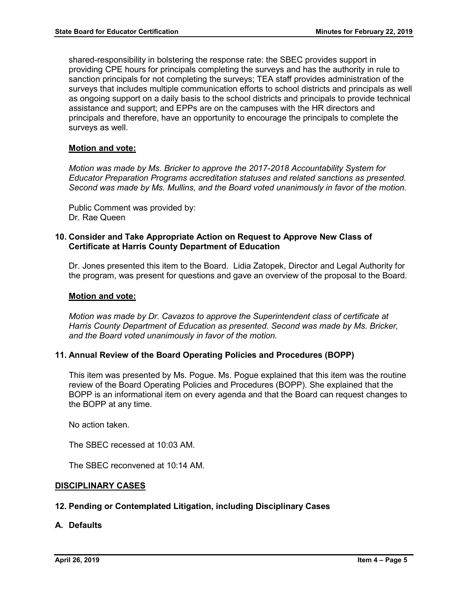shared-responsibility in bolstering the response rate: the SBEC provides support in providing CPE hours for principals completing the surveys and has the authority in rule to sanction principals for not completing the surveys; TEA staff provides administration of the surveys that includes multiple communication efforts to school districts and principals as well as ongoing support on a daily basis to the school districts and principals to provide technical assistance and support; and EPPs are on the campuses with the HR directors and principals and therefore, have an opportunity to encourage the principals to complete the surveys as well.

### **Motion and vote:**

*Motion was made by Ms. Bricker to approve the 2017-2018 Accountability System for Educator Preparation Programs accreditation statuses and related sanctions as presented. Second was made by Ms. Mullins, and the Board voted unanimously in favor of the motion.* 

Public Comment was provided by: Dr. Rae Queen

#### **10. Consider and Take Appropriate Action on Request to Approve New Class of Certificate at Harris County Department of Education**

Dr. Jones presented this item to the Board. Lidia Zatopek, Director and Legal Authority for the program, was present for questions and gave an overview of the proposal to the Board.

#### **Motion and vote:**

*Motion was made by Dr. Cavazos to approve the Superintendent class of certificate at Harris County Department of Education as presented. Second was made by Ms. Bricker, and the Board voted unanimously in favor of the motion.*

# **11. Annual Review of the Board Operating Policies and Procedures (BOPP)**

This item was presented by Ms. Pogue. Ms. Pogue explained that this item was the routine review of the Board Operating Policies and Procedures (BOPP). She explained that the BOPP is an informational item on every agenda and that the Board can request changes to the BOPP at any time.

No action taken.

The SBEC recessed at 10:03 AM.

The SBEC reconvened at 10:14 AM.

#### **DISCIPLINARY CASES**

# **12. Pending or Contemplated Litigation, including Disciplinary Cases**

**A. Defaults**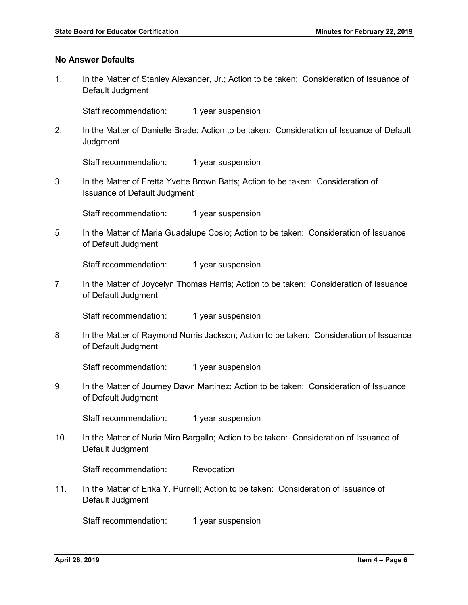### **No Answer Defaults**

1. In the Matter of Stanley Alexander, Jr.; Action to be taken: Consideration of Issuance of Default Judgment

Staff recommendation: 1 year suspension

2. In the Matter of Danielle Brade; Action to be taken: Consideration of Issuance of Default **Judgment** 

Staff recommendation: 1 year suspension

3. In the Matter of Eretta Yvette Brown Batts; Action to be taken: Consideration of Issuance of Default Judgment

Staff recommendation: 1 year suspension

5. In the Matter of Maria Guadalupe Cosio; Action to be taken: Consideration of Issuance of Default Judgment

Staff recommendation: 1 year suspension

7. In the Matter of Joycelyn Thomas Harris; Action to be taken: Consideration of Issuance of Default Judgment

Staff recommendation: 1 year suspension

8. In the Matter of Raymond Norris Jackson; Action to be taken: Consideration of Issuance of Default Judgment

Staff recommendation: 1 year suspension

9. In the Matter of Journey Dawn Martinez; Action to be taken: Consideration of Issuance of Default Judgment

Staff recommendation: 1 year suspension

10. In the Matter of Nuria Miro Bargallo; Action to be taken: Consideration of Issuance of Default Judgment

Staff recommendation: Revocation

11. In the Matter of Erika Y. Purnell; Action to be taken: Consideration of Issuance of Default Judgment

Staff recommendation: 1 year suspension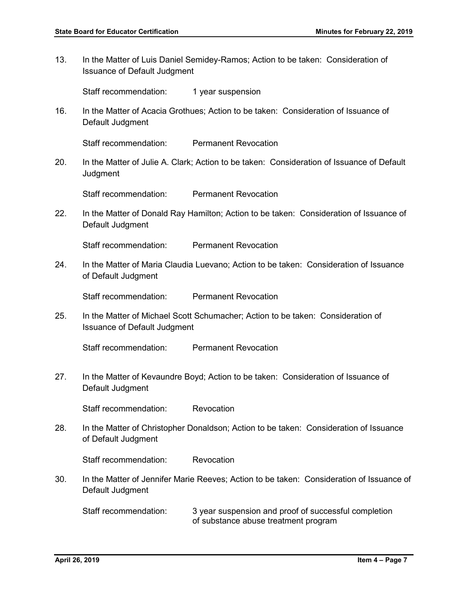13. In the Matter of Luis Daniel Semidey-Ramos; Action to be taken: Consideration of Issuance of Default Judgment

Staff recommendation: 1 year suspension

16. In the Matter of Acacia Grothues; Action to be taken: Consideration of Issuance of Default Judgment

Staff recommendation: Permanent Revocation

20. In the Matter of Julie A. Clark; Action to be taken: Consideration of Issuance of Default **Judgment** 

Staff recommendation: Permanent Revocation

22. In the Matter of Donald Ray Hamilton; Action to be taken: Consideration of Issuance of Default Judgment

Staff recommendation: Permanent Revocation

24. In the Matter of Maria Claudia Luevano; Action to be taken: Consideration of Issuance of Default Judgment

Staff recommendation: Permanent Revocation

25. In the Matter of Michael Scott Schumacher; Action to be taken: Consideration of Issuance of Default Judgment

Staff recommendation: Permanent Revocation

27. In the Matter of Kevaundre Boyd; Action to be taken: Consideration of Issuance of Default Judgment

Staff recommendation: Revocation

28. In the Matter of Christopher Donaldson; Action to be taken: Consideration of Issuance of Default Judgment

Staff recommendation: Revocation

30. In the Matter of Jennifer Marie Reeves; Action to be taken: Consideration of Issuance of Default Judgment

Staff recommendation: 3 year suspension and proof of successful completion of substance abuse treatment program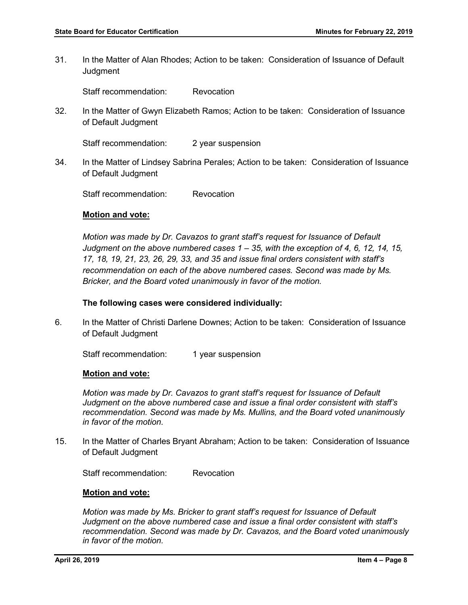31. In the Matter of Alan Rhodes; Action to be taken: Consideration of Issuance of Default **Judgment** 

Staff recommendation: Revocation

32. In the Matter of Gwyn Elizabeth Ramos; Action to be taken: Consideration of Issuance of Default Judgment

Staff recommendation: 2 year suspension

34. In the Matter of Lindsey Sabrina Perales; Action to be taken: Consideration of Issuance of Default Judgment

Staff recommendation: Revocation

#### **Motion and vote:**

*Motion was made by Dr. Cavazos to grant staff's request for Issuance of Default Judgment on the above numbered cases 1 – 35, with the exception of 4, 6, 12, 14, 15, 17, 18, 19, 21, 23, 26, 29, 33, and 35 and issue final orders consistent with staff's recommendation on each of the above numbered cases. Second was made by Ms. Bricker, and the Board voted unanimously in favor of the motion.* 

### **The following cases were considered individually:**

6. In the Matter of Christi Darlene Downes; Action to be taken: Consideration of Issuance of Default Judgment

Staff recommendation: 1 year suspension

#### **Motion and vote:**

*Motion was made by Dr. Cavazos to grant staff's request for Issuance of Default Judgment on the above numbered case and issue a final order consistent with staff's recommendation. Second was made by Ms. Mullins, and the Board voted unanimously in favor of the motion.*

15. In the Matter of Charles Bryant Abraham; Action to be taken: Consideration of Issuance of Default Judgment

Staff recommendation: Revocation

#### **Motion and vote:**

*Motion was made by Ms. Bricker to grant staff's request for Issuance of Default Judgment on the above numbered case and issue a final order consistent with staff's recommendation. Second was made by Dr. Cavazos, and the Board voted unanimously in favor of the motion.*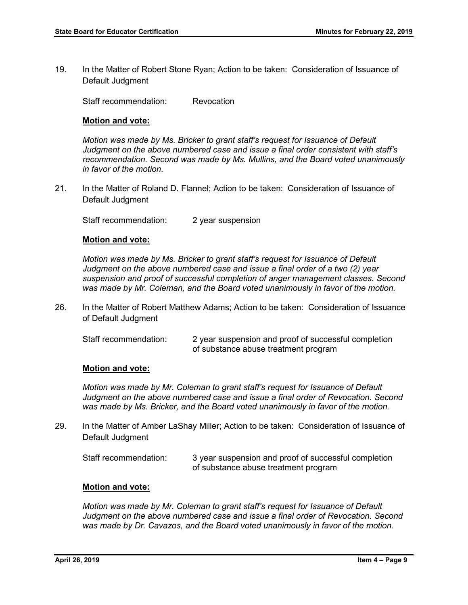19. In the Matter of Robert Stone Ryan; Action to be taken: Consideration of Issuance of Default Judgment

Staff recommendation: Revocation

#### **Motion and vote:**

*Motion was made by Ms. Bricker to grant staff's request for Issuance of Default Judgment on the above numbered case and issue a final order consistent with staff's recommendation. Second was made by Ms. Mullins, and the Board voted unanimously in favor of the motion.*

21. In the Matter of Roland D. Flannel; Action to be taken: Consideration of Issuance of Default Judgment

Staff recommendation: 2 year suspension

#### **Motion and vote:**

*Motion was made by Ms. Bricker to grant staff's request for Issuance of Default Judgment on the above numbered case and issue a final order of a two (2) year suspension and proof of successful completion of anger management classes. Second was made by Mr. Coleman, and the Board voted unanimously in favor of the motion.*

26. In the Matter of Robert Matthew Adams; Action to be taken: Consideration of Issuance of Default Judgment

| Staff recommendation: | 2 year suspension and proof of successful completion |
|-----------------------|------------------------------------------------------|
|                       | of substance abuse treatment program                 |

# **Motion and vote:**

*Motion was made by Mr. Coleman to grant staff's request for Issuance of Default Judgment on the above numbered case and issue a final order of Revocation. Second was made by Ms. Bricker, and the Board voted unanimously in favor of the motion.*

29. In the Matter of Amber LaShay Miller; Action to be taken: Consideration of Issuance of Default Judgment

| Staff recommendation: | 3 year suspension and proof of successful completion |
|-----------------------|------------------------------------------------------|
|                       | of substance abuse treatment program                 |

#### **Motion and vote:**

*Motion was made by Mr. Coleman to grant staff's request for Issuance of Default Judgment on the above numbered case and issue a final order of Revocation. Second was made by Dr. Cavazos, and the Board voted unanimously in favor of the motion.*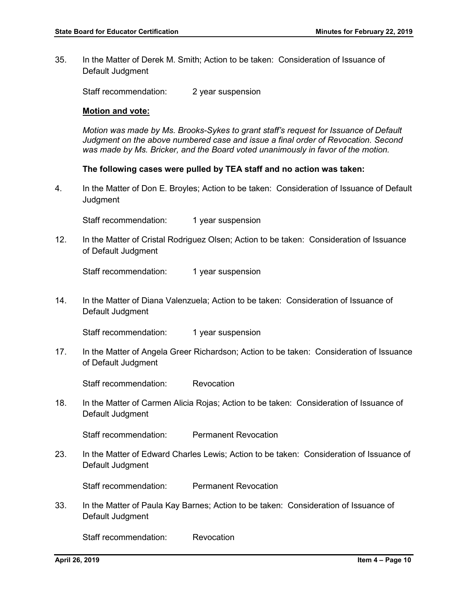35. In the Matter of Derek M. Smith; Action to be taken: Consideration of Issuance of Default Judgment

Staff recommendation: 2 year suspension

#### **Motion and vote:**

*Motion was made by Ms. Brooks-Sykes to grant staff's request for Issuance of Default Judgment on the above numbered case and issue a final order of Revocation. Second was made by Ms. Bricker, and the Board voted unanimously in favor of the motion.*

**The following cases were pulled by TEA staff and no action was taken:** 

4. In the Matter of Don E. Broyles; Action to be taken: Consideration of Issuance of Default **Judgment** 

Staff recommendation: 1 year suspension

12. In the Matter of Cristal Rodriguez Olsen; Action to be taken: Consideration of Issuance of Default Judgment

Staff recommendation: 1 year suspension

14. In the Matter of Diana Valenzuela; Action to be taken: Consideration of Issuance of Default Judgment

Staff recommendation: 1 year suspension

17. In the Matter of Angela Greer Richardson; Action to be taken: Consideration of Issuance of Default Judgment

Staff recommendation: Revocation

18. In the Matter of Carmen Alicia Rojas; Action to be taken: Consideration of Issuance of Default Judgment

Staff recommendation: Permanent Revocation

23. In the Matter of Edward Charles Lewis; Action to be taken: Consideration of Issuance of Default Judgment

Staff recommendation: Permanent Revocation

33. In the Matter of Paula Kay Barnes; Action to be taken: Consideration of Issuance of Default Judgment

Staff recommendation: Revocation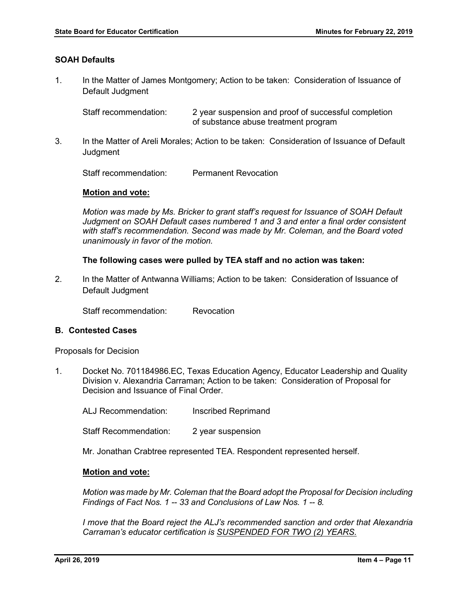### **SOAH Defaults**

1. In the Matter of James Montgomery; Action to be taken: Consideration of Issuance of Default Judgment

Staff recommendation: 2 year suspension and proof of successful completion of substance abuse treatment program

3. In the Matter of Areli Morales; Action to be taken: Consideration of Issuance of Default **Judament** 

Staff recommendation: Permanent Revocation

#### **Motion and vote:**

*Motion was made by Ms. Bricker to grant staff's request for Issuance of SOAH Default Judgment on SOAH Default cases numbered 1 and 3 and enter a final order consistent with staff's recommendation. Second was made by Mr. Coleman, and the Board voted unanimously in favor of the motion.* 

#### **The following cases were pulled by TEA staff and no action was taken:**

2. In the Matter of Antwanna Williams; Action to be taken: Consideration of Issuance of Default Judgment

Staff recommendation: Revocation

#### **B. Contested Cases**

Proposals for Decision

1. Docket No. 701184986.EC, Texas Education Agency, Educator Leadership and Quality Division v. Alexandria Carraman; Action to be taken: Consideration of Proposal for Decision and Issuance of Final Order.

ALJ Recommendation: Inscribed Reprimand

Staff Recommendation: 2 year suspension

Mr. Jonathan Crabtree represented TEA. Respondent represented herself.

#### **Motion and vote:**

*Motion was made by Mr. Coleman that the Board adopt the Proposal for Decision including Findings of Fact Nos. 1 -- 33 and Conclusions of Law Nos. 1 -- 8.* 

*I move that the Board reject the ALJ's recommended sanction and order that Alexandria Carraman's educator certification is SUSPENDED FOR TWO (2) YEARS.*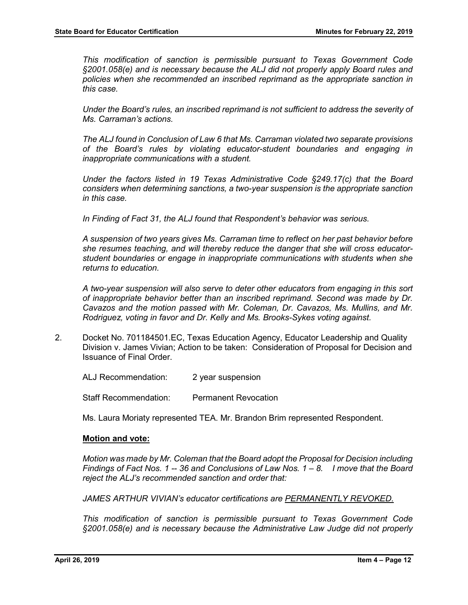*This modification of sanction is permissible pursuant to Texas Government Code §2001.058(e) and is necessary because the ALJ did not properly apply Board rules and policies when she recommended an inscribed reprimand as the appropriate sanction in this case.* 

*Under the Board's rules, an inscribed reprimand is not sufficient to address the severity of Ms. Carraman's actions.* 

*The ALJ found in Conclusion of Law 6 that Ms. Carraman violated two separate provisions of the Board's rules by violating educator-student boundaries and engaging in inappropriate communications with a student.* 

*Under the factors listed in 19 Texas Administrative Code §249.17(c) that the Board considers when determining sanctions, a two-year suspension is the appropriate sanction in this case.* 

*In Finding of Fact 31, the ALJ found that Respondent's behavior was serious.* 

*A suspension of two years gives Ms. Carraman time to reflect on her past behavior before she resumes teaching, and will thereby reduce the danger that she will cross educatorstudent boundaries or engage in inappropriate communications with students when she returns to education.* 

*A two-year suspension will also serve to deter other educators from engaging in this sort of inappropriate behavior better than an inscribed reprimand. Second was made by Dr. Cavazos and the motion passed with Mr. Coleman, Dr. Cavazos, Ms. Mullins, and Mr. Rodriguez, voting in favor and Dr. Kelly and Ms. Brooks-Sykes voting against.*

2. Docket No. 701184501.EC, Texas Education Agency, Educator Leadership and Quality Division v. James Vivian; Action to be taken: Consideration of Proposal for Decision and Issuance of Final Order.

ALJ Recommendation: 2 year suspension

Staff Recommendation: Permanent Revocation

Ms. Laura Moriaty represented TEA. Mr. Brandon Brim represented Respondent.

#### **Motion and vote:**

*Motion was made by Mr. Coleman that the Board adopt the Proposal for Decision including Findings of Fact Nos. 1 -- 36 and Conclusions of Law Nos. 1 – 8. I move that the Board reject the ALJ's recommended sanction and order that:*

*JAMES ARTHUR VIVIAN's educator certifications are PERMANENTLY REVOKED.*

*This modification of sanction is permissible pursuant to Texas Government Code §2001.058(e) and is necessary because the Administrative Law Judge did not properly*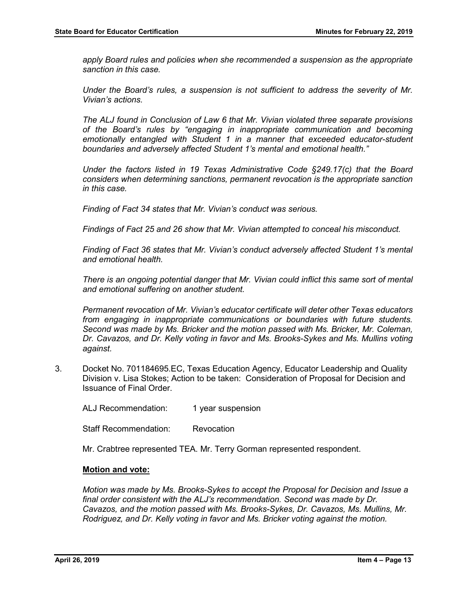*apply Board rules and policies when she recommended a suspension as the appropriate sanction in this case.* 

*Under the Board's rules, a suspension is not sufficient to address the severity of Mr. Vivian's actions.* 

*The ALJ found in Conclusion of Law 6 that Mr. Vivian violated three separate provisions of the Board's rules by "engaging in inappropriate communication and becoming emotionally entangled with Student 1 in a manner that exceeded educator-student boundaries and adversely affected Student 1's mental and emotional health."* 

*Under the factors listed in 19 Texas Administrative Code §249.17(c) that the Board considers when determining sanctions, permanent revocation is the appropriate sanction in this case.* 

*Finding of Fact 34 states that Mr. Vivian's conduct was serious.* 

*Findings of Fact 25 and 26 show that Mr. Vivian attempted to conceal his misconduct.*

*Finding of Fact 36 states that Mr. Vivian's conduct adversely affected Student 1's mental and emotional health.* 

*There is an ongoing potential danger that Mr. Vivian could inflict this same sort of mental and emotional suffering on another student.*

*Permanent revocation of Mr. Vivian's educator certificate will deter other Texas educators from engaging in inappropriate communications or boundaries with future students. Second was made by Ms. Bricker and the motion passed with Ms. Bricker, Mr. Coleman, Dr. Cavazos, and Dr. Kelly voting in favor and Ms. Brooks-Sykes and Ms. Mullins voting against.* 

3. Docket No. 701184695.EC, Texas Education Agency, Educator Leadership and Quality Division v. Lisa Stokes; Action to be taken: Consideration of Proposal for Decision and Issuance of Final Order.

ALJ Recommendation: 1 year suspension

Staff Recommendation: Revocation

Mr. Crabtree represented TEA. Mr. Terry Gorman represented respondent.

#### **Motion and vote:**

*Motion was made by Ms. Brooks-Sykes to accept the Proposal for Decision and Issue a final order consistent with the ALJ's recommendation. Second was made by Dr. Cavazos, and the motion passed with Ms. Brooks-Sykes, Dr. Cavazos, Ms. Mullins, Mr. Rodriguez, and Dr. Kelly voting in favor and Ms. Bricker voting against the motion.*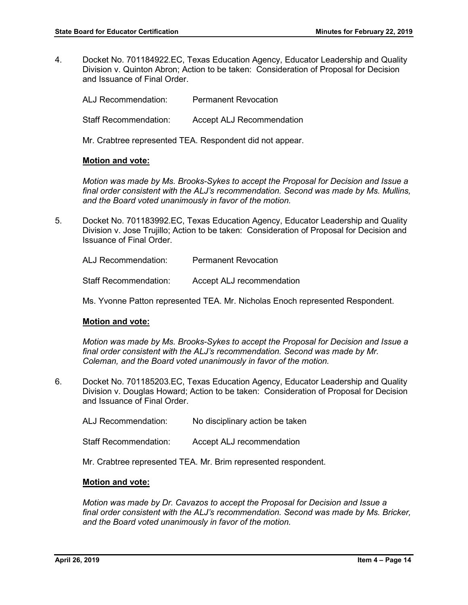4. Docket No. 701184922.EC, Texas Education Agency, Educator Leadership and Quality Division v. Quinton Abron; Action to be taken: Consideration of Proposal for Decision and Issuance of Final Order.

ALJ Recommendation: Permanent Revocation Staff Recommendation: Accept ALJ Recommendation

Mr. Crabtree represented TEA. Respondent did not appear.

#### **Motion and vote:**

*Motion was made by Ms. Brooks-Sykes to accept the Proposal for Decision and Issue a final order consistent with the ALJ's recommendation. Second was made by Ms. Mullins, and the Board voted unanimously in favor of the motion.* 

5. Docket No. 701183992.EC, Texas Education Agency, Educator Leadership and Quality Division v. Jose Trujillo; Action to be taken: Consideration of Proposal for Decision and Issuance of Final Order.

ALJ Recommendation: Permanent Revocation

Staff Recommendation: Accept ALJ recommendation

Ms. Yvonne Patton represented TEA. Mr. Nicholas Enoch represented Respondent.

# **Motion and vote:**

*Motion was made by Ms. Brooks-Sykes to accept the Proposal for Decision and Issue a final order consistent with the ALJ's recommendation. Second was made by Mr. Coleman, and the Board voted unanimously in favor of the motion.* 

- 6. Docket No. 701185203.EC, Texas Education Agency, Educator Leadership and Quality Division v. Douglas Howard; Action to be taken: Consideration of Proposal for Decision and Issuance of Final Order.
	- ALJ Recommendation: No disciplinary action be taken
	- Staff Recommendation: Accept ALJ recommendation

Mr. Crabtree represented TEA. Mr. Brim represented respondent.

#### **Motion and vote:**

*Motion was made by Dr. Cavazos to accept the Proposal for Decision and Issue a final order consistent with the ALJ's recommendation. Second was made by Ms. Bricker, and the Board voted unanimously in favor of the motion.*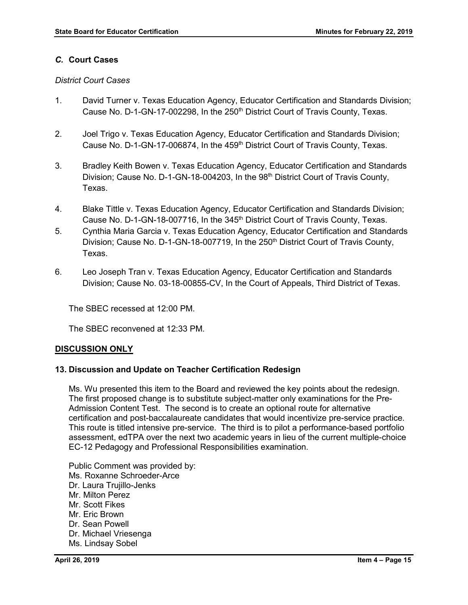# *C.* **Court Cases**

#### *District Court Cases*

- 1. David Turner v. Texas Education Agency, Educator Certification and Standards Division; Cause No. D-1-GN-17-002298, In the 250<sup>th</sup> District Court of Travis County, Texas.
- 2. Joel Trigo v. Texas Education Agency, Educator Certification and Standards Division; Cause No. D-1-GN-17-006874, In the 459<sup>th</sup> District Court of Travis County, Texas.
- 3. Bradley Keith Bowen v. Texas Education Agency, Educator Certification and Standards Division; Cause No. D-1-GN-18-004203, In the 98<sup>th</sup> District Court of Travis County, Texas.
- 4. Blake Tittle v. Texas Education Agency, Educator Certification and Standards Division; Cause No. D-1-GN-18-007716, In the 345<sup>th</sup> District Court of Travis County, Texas.
- 5. Cynthia Maria Garcia v. Texas Education Agency, Educator Certification and Standards Division; Cause No. D-1-GN-18-007719, In the 250<sup>th</sup> District Court of Travis County, Texas.
- 6. Leo Joseph Tran v. Texas Education Agency, Educator Certification and Standards Division; Cause No. 03-18-00855-CV, In the Court of Appeals, Third District of Texas.

The SBEC recessed at 12:00 PM.

The SBEC reconvened at 12:33 PM.

#### **DISCUSSION ONLY**

#### **13. Discussion and Update on Teacher Certification Redesign**

Ms. Wu presented this item to the Board and reviewed the key points about the redesign. The first proposed change is to substitute subject-matter only examinations for the Pre-Admission Content Test. The second is to create an optional route for alternative certification and post-baccalaureate candidates that would incentivize pre-service practice. This route is titled intensive pre-service. The third is to pilot a performance-based portfolio assessment, edTPA over the next two academic years in lieu of the current multiple-choice EC-12 Pedagogy and Professional Responsibilities examination.

Public Comment was provided by: Ms. Roxanne Schroeder-Arce Dr. Laura Trujillo-Jenks Mr. Milton Perez Mr. Scott Fikes Mr. Eric Brown Dr. Sean Powell Dr. Michael Vriesenga Ms. Lindsay Sobel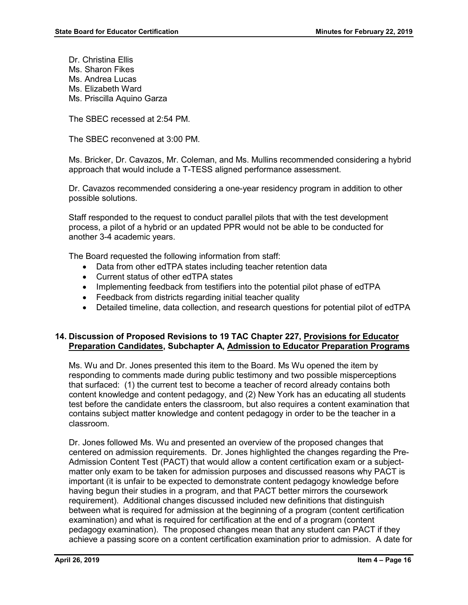Dr. Christina Ellis Ms. Sharon Fikes Ms. Andrea Lucas Ms. Elizabeth Ward Ms. Priscilla Aquino Garza

The SBEC recessed at 2:54 PM.

The SBEC reconvened at 3:00 PM.

Ms. Bricker, Dr. Cavazos, Mr. Coleman, and Ms. Mullins recommended considering a hybrid approach that would include a T-TESS aligned performance assessment.

Dr. Cavazos recommended considering a one-year residency program in addition to other possible solutions.

Staff responded to the request to conduct parallel pilots that with the test development process, a pilot of a hybrid or an updated PPR would not be able to be conducted for another 3-4 academic years.

The Board requested the following information from staff:

- Data from other edTPA states including teacher retention data
- Current status of other edTPA states
- Implementing feedback from testifiers into the potential pilot phase of edTPA
- Feedback from districts regarding initial teacher quality
- Detailed timeline, data collection, and research questions for potential pilot of edTPA

# **14. Discussion of Proposed Revisions to 19 TAC Chapter 227, Provisions for Educator Preparation Candidates, Subchapter A, Admission to Educator Preparation Programs**

Ms. Wu and Dr. Jones presented this item to the Board. Ms Wu opened the item by responding to comments made during public testimony and two possible misperceptions that surfaced: (1) the current test to become a teacher of record already contains both content knowledge and content pedagogy, and (2) New York has an educating all students test before the candidate enters the classroom, but also requires a content examination that contains subject matter knowledge and content pedagogy in order to be the teacher in a classroom.

Dr. Jones followed Ms. Wu and presented an overview of the proposed changes that centered on admission requirements. Dr. Jones highlighted the changes regarding the Pre-Admission Content Test (PACT) that would allow a content certification exam or a subjectmatter only exam to be taken for admission purposes and discussed reasons why PACT is important (it is unfair to be expected to demonstrate content pedagogy knowledge before having begun their studies in a program, and that PACT better mirrors the coursework requirement). Additional changes discussed included new definitions that distinguish between what is required for admission at the beginning of a program (content certification examination) and what is required for certification at the end of a program (content pedagogy examination). The proposed changes mean that any student can PACT if they achieve a passing score on a content certification examination prior to admission. A date for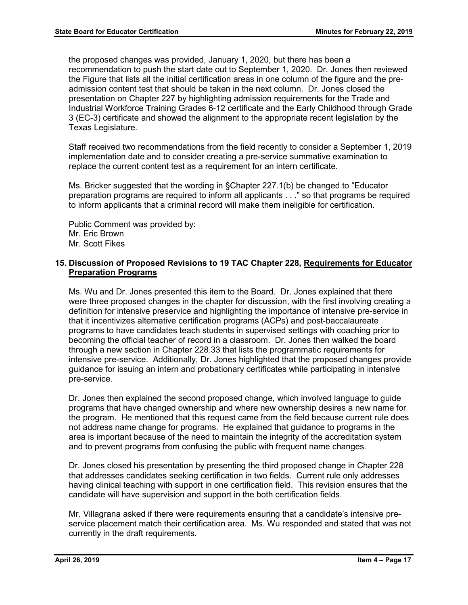the proposed changes was provided, January 1, 2020, but there has been a recommendation to push the start date out to September 1, 2020. Dr. Jones then reviewed the Figure that lists all the initial certification areas in one column of the figure and the preadmission content test that should be taken in the next column. Dr. Jones closed the presentation on Chapter 227 by highlighting admission requirements for the Trade and Industrial Workforce Training Grades 6-12 certificate and the Early Childhood through Grade 3 (EC-3) certificate and showed the alignment to the appropriate recent legislation by the Texas Legislature.

Staff received two recommendations from the field recently to consider a September 1, 2019 implementation date and to consider creating a pre-service summative examination to replace the current content test as a requirement for an intern certificate.

Ms. Bricker suggested that the wording in §Chapter 227.1(b) be changed to "Educator preparation programs are required to inform all applicants . . ." so that programs be required to inform applicants that a criminal record will make them ineligible for certification.

Public Comment was provided by: Mr. Eric Brown Mr. Scott Fikes

# **15. Discussion of Proposed Revisions to 19 TAC Chapter 228, Requirements for Educator Preparation Programs**

Ms. Wu and Dr. Jones presented this item to the Board. Dr. Jones explained that there were three proposed changes in the chapter for discussion, with the first involving creating a definition for intensive preservice and highlighting the importance of intensive pre-service in that it incentivizes alternative certification programs (ACPs) and post-baccalaureate programs to have candidates teach students in supervised settings with coaching prior to becoming the official teacher of record in a classroom. Dr. Jones then walked the board through a new section in Chapter 228.33 that lists the programmatic requirements for intensive pre-service. Additionally, Dr. Jones highlighted that the proposed changes provide guidance for issuing an intern and probationary certificates while participating in intensive pre-service.

Dr. Jones then explained the second proposed change, which involved language to guide programs that have changed ownership and where new ownership desires a new name for the program. He mentioned that this request came from the field because current rule does not address name change for programs. He explained that guidance to programs in the area is important because of the need to maintain the integrity of the accreditation system and to prevent programs from confusing the public with frequent name changes.

Dr. Jones closed his presentation by presenting the third proposed change in Chapter 228 that addresses candidates seeking certification in two fields. Current rule only addresses having clinical teaching with support in one certification field. This revision ensures that the candidate will have supervision and support in the both certification fields.

Mr. Villagrana asked if there were requirements ensuring that a candidate's intensive preservice placement match their certification area. Ms. Wu responded and stated that was not currently in the draft requirements.